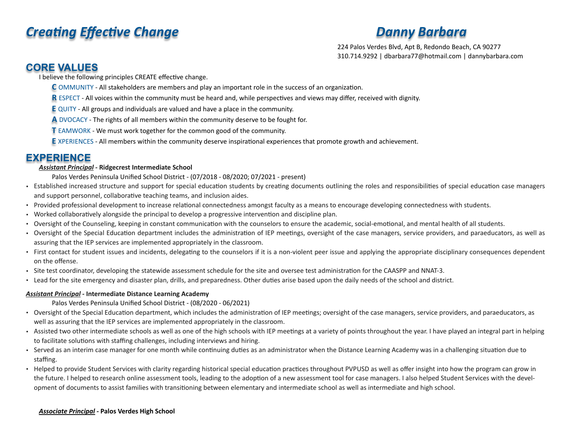# **Creating Effective Change Community Community Creating Barbara**

224 Palos Verdes Blvd, Apt B, Redondo Beach, CA 90277 310.714.9292 | dbarbara77@hotmail.com | dannybarbara.com

# **CORE VALUES**

I believe the following principles CREATE effective change.

- **C** OMMUNITY All stakeholders are members and play an important role in the success of an organization.
- **R** ESPECT All voices within the community must be heard and, while perspectives and views may differ, received with dignity.
- **E** QUITY All groups and individuals are valued and have a place in the community.
- **A** DVOCACY The rights of all members within the community deserve to be fought for.
- **T** EAMWORK We must work together for the common good of the community.
- **E** XPERIENCES All members within the community deserve inspirational experiences that promote growth and achievement.

# **EXPERIENCE**

#### *Assistant Principal -* **Ridgecrest Intermediate School**

Palos Verdes Peninsula Unified School District - (07/2018 - 08/2020; 07/2021 - present)

- Established increased structure and support for special education students by creating documents outlining the roles and responsibilities of special education case managers and support personnel, collaborative teaching teams, and inclusion aides.
- Provided professional development to increase relational connectedness amongst faculty as a means to encourage developing connectedness with students.
- Worked collaboratively alongside the principal to develop a progressive intervention and discipline plan.
- Oversight of the Counseling, keeping in constant communication with the counselors to ensure the academic, social-emotional, and mental health of all students.
- Oversight of the Special Education department includes the administration of IEP meetings, oversight of the case managers, service providers, and paraeducators, as well as assuring that the IEP services are implemented appropriately in the classroom.
- First contact for student issues and incidents, delegating to the counselors if it is a non-violent peer issue and applying the appropriate disciplinary consequences dependent on the offense.
- Site test coordinator, developing the statewide assessment schedule for the site and oversee test administration for the CAASPP and NNAT-3.
- Lead for the site emergency and disaster plan, drills, and preparedness. Other duties arise based upon the daily needs of the school and district.

#### *Assistant Principal -* **Intermediate Distance Learning Academy**

Palos Verdes Peninsula Unified School District - (08/2020 - 06/2021)

- Oversight of the Special Education department, which includes the administration of IEP meetings; oversight of the case managers, service providers, and paraeducators, as well as assuring that the IEP services are implemented appropriately in the classroom.
- Assisted two other intermediate schools as well as one of the high schools with IEP meetings at a variety of points throughout the year. I have played an integral part in helping to facilitate solutions with staffing challenges, including interviews and hiring.
- Served as an interim case manager for one month while continuing duties as an administrator when the Distance Learning Academy was in a challenging situation due to staffing.
- Helped to provide Student Services with clarity regarding historical special education practices throughout PVPUSD as well as offer insight into how the program can grow in the future. I helped to research online assessment tools, leading to the adoption of a new assessment tool for case managers. I also helped Student Services with the development of documents to assist families with transitioning between elementary and intermediate school as well as intermediate and high school.